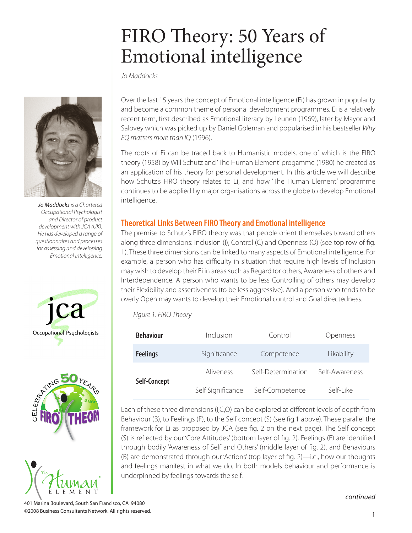# FIRO Theory: 50 Years of Emotional intelligence

*Jo Maddocks*



*Jo Maddocks is a Chartered Occupational Psychologist and Director of product development with JCA (UK). He has developed a range of questionnaires and processes for assessing and developing Emotional intelligence.*







Over the last 15 years the concept of Emotional intelligence (Ei) has grown in popularity and become a common theme of personal development programmes. Ei is a relatively recent term, first described as Emotional literacy by Leunen (1969), later by Mayor and Salovey which was picked up by Daniel Goleman and popularised in his bestseller *Why EQ matters more than IQ* (1996).

The roots of Ei can be traced back to Humanistic models, one of which is the FIRO theory (1958) by Will Schutz and 'The Human Element' progamme (1980) he created as an application of his theory for personal development. In this article we will describe how Schutz's FIRO theory relates to Ei, and how 'The Human Element' programme continues to be applied by major organisations across the globe to develop Emotional intelligence.

## **Theoretical Links Between FIRO Theory and Emotional intelligence**

The premise to Schutz's FIRO theory was that people orient themselves toward others along three dimensions: Inclusion (I), Control (C) and Openness (O) (see top row of fig. 1). These three dimensions can be linked to many aspects of Emotional intelligence. For example, a person who has difficulty in situation that require high levels of Inclusion may wish to develop their Ei in areas such as Regard for others, Awareness of others and Interdependence. A person who wants to be less Controlling of others may develop their Flexibility and assertiveness (to be less aggressive). And a person who tends to be overly Open may wants to develop their Emotional control and Goal directedness.

*Figure 1: FIRO Theory*

| <b>Behaviour</b> | Inclusion         | Control            | Openness       |
|------------------|-------------------|--------------------|----------------|
| <b>Feelings</b>  | Significance      | Competence         | Likability     |
| Self-Concept     | Aliveness         | Self-Determination | Self-Awareness |
|                  | Self Significance | Self-Competence    | Self-Like      |

Each of these three dimensions (I,C,O) can be explored at different levels of depth from Behaviour (B), to Feelings (F), to the Self concept (S) (see fig.1 above). These parallel the framework for Ei as proposed by JCA (see fig. 2 on the next page). The Self concept (S) is reflected by our 'Core Attitudes' (bottom layer of fig. 2). Feelings (F) are identified through bodily 'Awareness of Self and Others' (middle layer of fig. 2), and Behaviours (B) are demonstrated through our 'Actions' (top layer of fig. 2)—i.e., how our thoughts and feelings manifest in what we do. In both models behaviour and performance is underpinned by feelings towards the self.

*continued*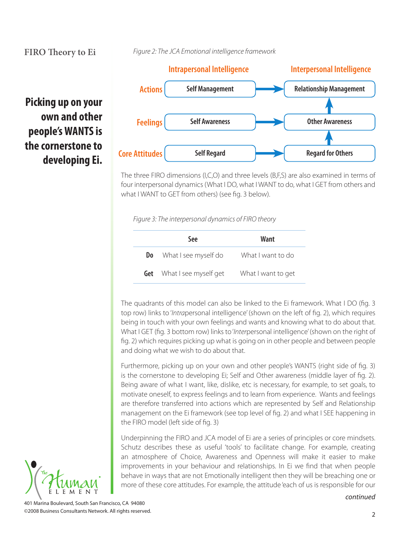**Picking up on your** 

**people's WANTS is the cornerstone to** 

**own and other** 

*Figure 2: The JCA Emotional intelligence framework*



The three FIRO dimensions (I,C,O) and three levels (B,F,S) are also examined in terms of four interpersonal dynamics (What I DO, what I WANT to do, what I GET from others and what I WANT to GET from others) (see fig. 3 below).

*Figure 3: The interpersonal dynamics of FIRO theory*

|     | <b>See</b>                       | Want               |
|-----|----------------------------------|--------------------|
| Do. | What I see myself do             | What I want to do  |
|     | <b>Get</b> What I see myself get | What I want to get |

The quadrants of this model can also be linked to the Ei framework. What I DO (fig. 3 top row) links to '*Intra*personal intelligence' (shown on the left of fig. 2), which requires being in touch with your own feelings and wants and knowing what to do about that. What I GET (fig. 3 bottom row) links to '*Inter*personal intelligence' (shown on the right of fig. 2) which requires picking up what is going on in other people and between people and doing what we wish to do about that.

Furthermore, picking up on your own and other people's WANTS (right side of fig. 3) is the cornerstone to developing Ei; Self and Other awareness (middle layer of fig. 2). Being aware of what I want, like, dislike, etc is necessary, for example, to set goals, to motivate oneself, to express feelings and to learn from experience. Wants and feelings are therefore transferred into actions which are represented by Self and Relationship management on the Ei framework (see top level of fig. 2) and what I SEE happening in the FIRO model (left side of fig. 3)

Underpinning the FIRO and JCA model of Ei are a series of principles or core mindsets. Schutz describes these as useful 'tools' to facilitate change. For example, creating an atmosphere of Choice, Awareness and Openness will make it easier to make improvements in your behaviour and relationships. In Ei we find that when people behave in ways that are not Emotionally intelligent then they will be breaching one or more of these core attitudes. For example, the attitude 'each of us is responsible for our

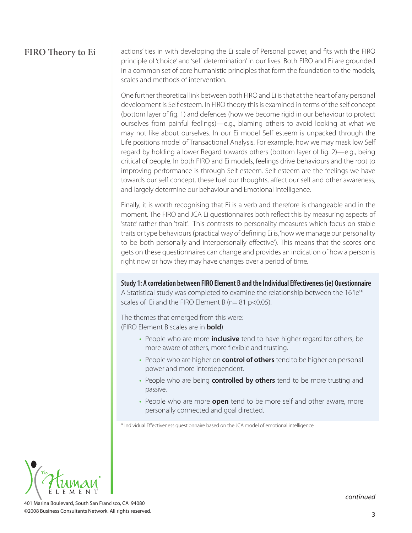actions' ties in with developing the Ei scale of Personal power, and fits with the FIRO principle of 'choice' and 'self determination' in our lives. Both FIRO and Ei are grounded in a common set of core humanistic principles that form the foundation to the models, scales and methods of intervention.

One further theoretical link between both FIRO and Ei is that at the heart of any personal development is Self esteem. In FIRO theory this is examined in terms of the self concept (bottom layer of fig. 1) and defences (how we become rigid in our behaviour to protect ourselves from painful feelings)—e.g., blaming others to avoid looking at what we may not like about ourselves. In our Ei model Self esteem is unpacked through the Life positions model of Transactional Analysis. For example, how we may mask low Self regard by holding a lower Regard towards others (bottom layer of fig. 2)—e.g., being critical of people. In both FIRO and Ei models, feelings drive behaviours and the root to improving performance is through Self esteem. Self esteem are the feelings we have towards our self concept, these fuel our thoughts, affect our self and other awareness, and largely determine our behaviour and Emotional intelligence.

Finally, it is worth recognising that Ei is a verb and therefore is changeable and in the moment. The FIRO and JCA Ei questionnaires both reflect this by measuring aspects of 'state' rather than 'trait'. This contrasts to personality measures which focus on stable traits or type behaviours (practical way of defining Ei is, 'how we manage our personality to be both personally and interpersonally effective'). This means that the scores one gets on these questionnaires can change and provides an indication of how a person is right now or how they may have changes over a period of time.

**Study 1: A correlation between FIRO Element B and the Individual Effectiveness (ie) Questionnaire**

A Statistical study was completed to examine the relationship between the 16'ie'\* scales of Ei and the FIRO Element B (n= 81 p<0.05).

The themes that emerged from this were: (FIRO Element B scales are in **bold**)

- People who are more **inclusive** tend to have higher regard for others, be more aware of others, more flexible and trusting.
- People who are higher on **control of others** tend to be higher on personal power and more interdependent.
- People who are being **controlled by others** tend to be more trusting and passive.
- People who are more **open** tend to be more self and other aware, more personally connected and goal directed.

\* Individual Effectiveness questionnaire based on the JCA model of emotional intelligence.

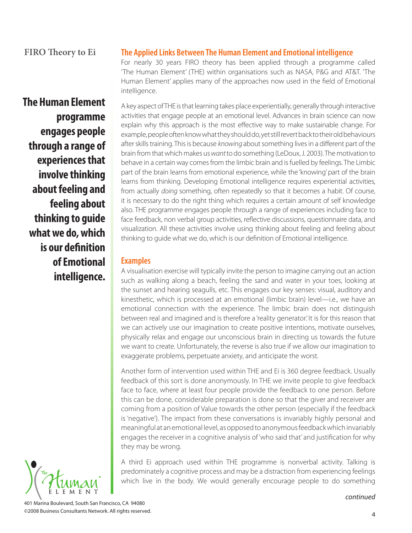**The Human Element programme engages people through a range of experiences that involve thinking about feeling and feeling about thinking to guide what we do, which is our definition of Emotional intelligence.** 

## **The Applied Links Between The Human Element and Emotional intelligence**

For nearly 30 years FIRO theory has been applied through a programme called 'The Human Element' (THE) within organisations such as NASA, P&G and AT&T. 'The Human Element' applies many of the approaches now used in the field of Emotional intelligence.

A key aspect of THE is that learning takes place experientially, generally through interactive activities that engage people at an emotional level. Advances in brain science can now explain why this approach is the most effective way to make sustainable change. For example, people often know what they should do, yet still revert back to their old behaviours after skills training. This is because *knowing* about something lives in a different part of the brain from that which makes us *want* to do something (LeDoux, J. 2003). The motivation to behave in a certain way comes from the limbic brain and is fuelled by feelings. The Limbic part of the brain learns from emotional experience, while the 'knowing' part of the brain learns from thinking. Developing Emotional intelligence requires experiential activities, from actually *doing* something, often repeatedly so that it becomes a habit. Of course, it is necessary to do the right thing which requires a certain amount of self knowledge also. THE programme engages people through a range of experiences including face to face feedback, non verbal group activities, reflective discussions, questionnaire data, and visualization. All these activities involve using thinking about feeling and feeling about thinking to guide what we do, which is our definition of Emotional intelligence.

#### **Examples**

A visualisation exercise will typically invite the person to imagine carrying out an action such as walking along a beach, feeling the sand and water in your toes, looking at the sunset and hearing seagulls, etc. This engages our key senses: visual, auditory and kinesthetic, which is processed at an emotional (limbic brain) level—i.e., we have an emotional connection with the experience. The limbic brain does not distinguish between real and imagined and is therefore a 'reality generator.' It is for this reason that we can actively use our imagination to create positive intentions, motivate ourselves, physically relax and engage our unconscious brain in directing us towards the future we want to create. Unfortunately, the reverse is also true if we allow our imagination to exaggerate problems, perpetuate anxiety, and anticipate the worst.

Another form of intervention used within THE and Ei is 360 degree feedback. Usually feedback of this sort is done anonymously. In THE we invite people to give feedback face to face, where at least four people provide the feedback to one person. Before this can be done, considerable preparation is done so that the giver and receiver are coming from a position of Value towards the other person (especially if the feedback is 'negative'). The impact from these conversations is invariably highly personal and meaningful at an emotional level, as opposed to anonymous feedback which invariably engages the receiver in a cognitive analysis of 'who said that' and justification for why they may be wrong.

A third Ei approach used within THE programme is nonverbal activity. Talking is predominately a cognitive process and may be a distraction from experiencing feelings which live in the body. We would generally encourage people to do something